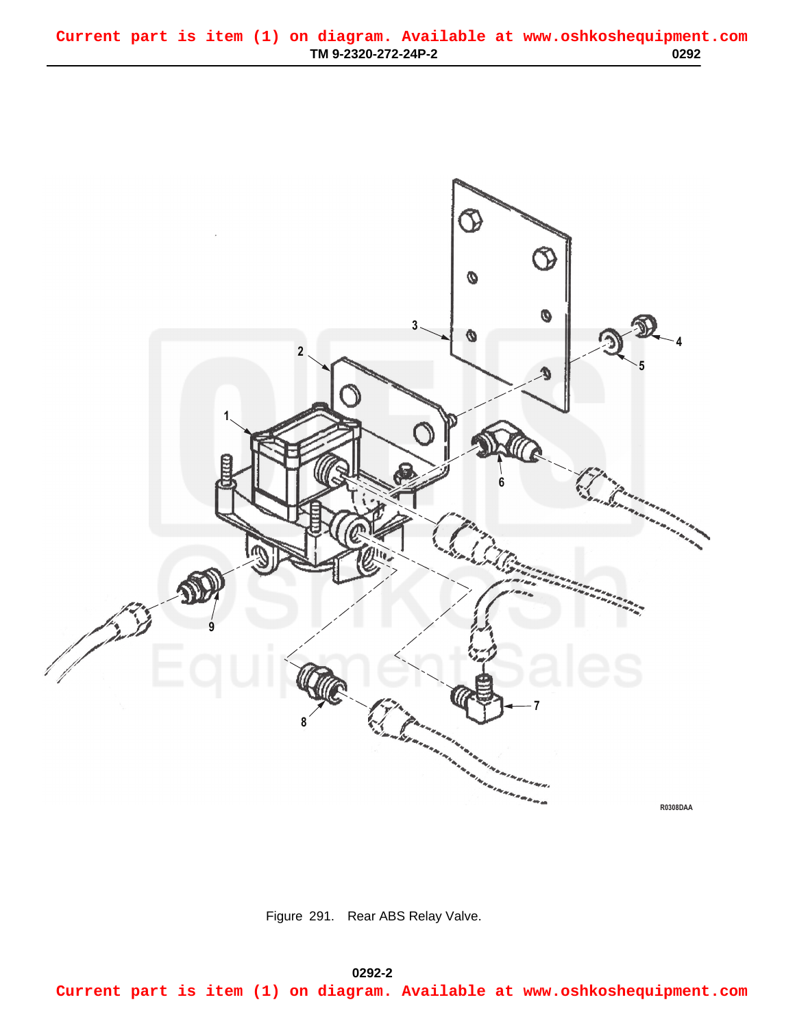<span id="page-0-0"></span>

Figure 291. Rear ABS Relay Valve.

**0292-2 03/15/2011 Rel(1.8) root(plwp) wpno(R00292) Current part is item (1) on diagram. Available at www.oshkoshequipment.com**